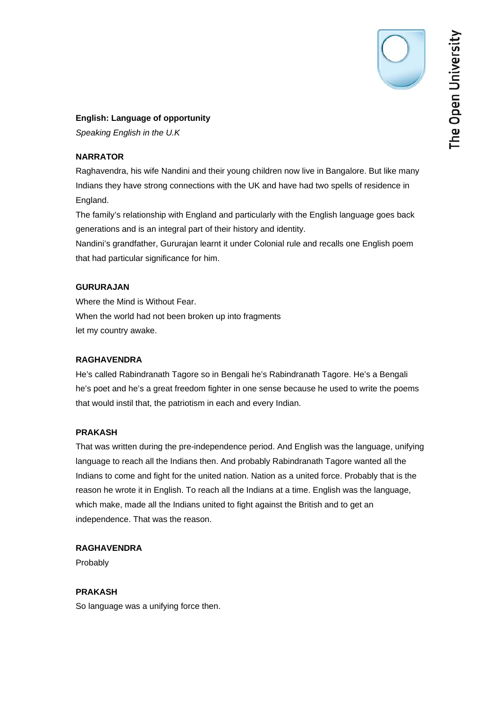The Open University

# **English: Language of opportunity**

*Speaking English in the U.K* 

# **NARRATOR**

Raghavendra, his wife Nandini and their young children now live in Bangalore. But like many Indians they have strong connections with the UK and have had two spells of residence in England.

The family's relationship with England and particularly with the English language goes back generations and is an integral part of their history and identity.

Nandini's grandfather, Gururajan learnt it under Colonial rule and recalls one English poem that had particular significance for him.

# **GURURAJAN**

Where the Mind is Without Fear. When the world had not been broken up into fragments let my country awake.

# **RAGHAVENDRA**

He's called Rabindranath Tagore so in Bengali he's Rabindranath Tagore. He's a Bengali he's poet and he's a great freedom fighter in one sense because he used to write the poems that would instil that, the patriotism in each and every Indian.

# **PRAKASH**

That was written during the pre-independence period. And English was the language, unifying language to reach all the Indians then. And probably Rabindranath Tagore wanted all the Indians to come and fight for the united nation. Nation as a united force. Probably that is the reason he wrote it in English. To reach all the Indians at a time. English was the language, which make, made all the Indians united to fight against the British and to get an independence. That was the reason.

# **RAGHAVENDRA**

Probably

# **PRAKASH**

So language was a unifying force then.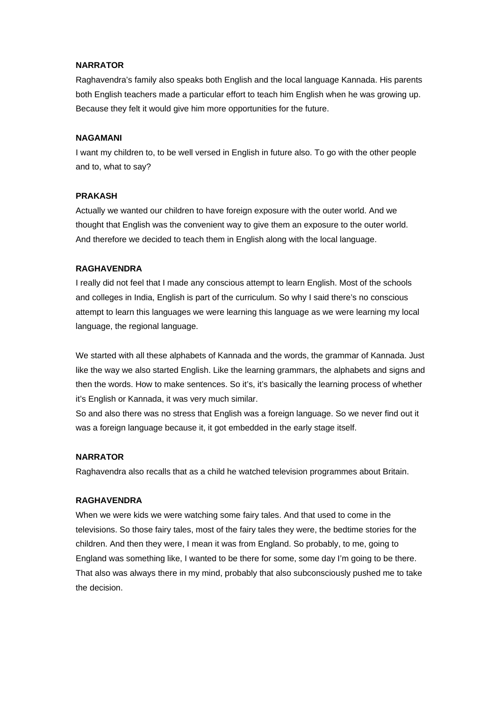#### **NARRATOR**

Raghavendra's family also speaks both English and the local language Kannada. His parents both English teachers made a particular effort to teach him English when he was growing up. Because they felt it would give him more opportunities for the future.

#### **NAGAMANI**

I want my children to, to be well versed in English in future also. To go with the other people and to, what to say?

#### **PRAKASH**

Actually we wanted our children to have foreign exposure with the outer world. And we thought that English was the convenient way to give them an exposure to the outer world. And therefore we decided to teach them in English along with the local language.

#### **RAGHAVENDRA**

I really did not feel that I made any conscious attempt to learn English. Most of the schools and colleges in India, English is part of the curriculum. So why I said there's no conscious attempt to learn this languages we were learning this language as we were learning my local language, the regional language.

We started with all these alphabets of Kannada and the words, the grammar of Kannada. Just like the way we also started English. Like the learning grammars, the alphabets and signs and then the words. How to make sentences. So it's, it's basically the learning process of whether it's English or Kannada, it was very much similar.

So and also there was no stress that English was a foreign language. So we never find out it was a foreign language because it, it got embedded in the early stage itself.

### **NARRATOR**

Raghavendra also recalls that as a child he watched television programmes about Britain.

### **RAGHAVENDRA**

When we were kids we were watching some fairy tales. And that used to come in the televisions. So those fairy tales, most of the fairy tales they were, the bedtime stories for the children. And then they were, I mean it was from England. So probably, to me, going to England was something like, I wanted to be there for some, some day I'm going to be there. That also was always there in my mind, probably that also subconsciously pushed me to take the decision.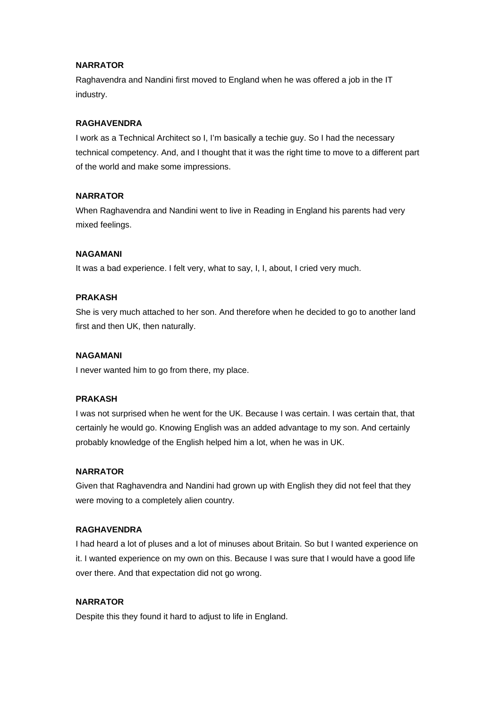### **NARRATOR**

Raghavendra and Nandini first moved to England when he was offered a job in the IT industry.

### **RAGHAVENDRA**

I work as a Technical Architect so I, I'm basically a techie guy. So I had the necessary technical competency. And, and I thought that it was the right time to move to a different part of the world and make some impressions.

#### **NARRATOR**

When Raghavendra and Nandini went to live in Reading in England his parents had very mixed feelings.

### **NAGAMANI**

It was a bad experience. I felt very, what to say, I, I, about, I cried very much.

#### **PRAKASH**

She is very much attached to her son. And therefore when he decided to go to another land first and then UK, then naturally.

#### **NAGAMANI**

I never wanted him to go from there, my place.

#### **PRAKASH**

I was not surprised when he went for the UK. Because I was certain. I was certain that, that certainly he would go. Knowing English was an added advantage to my son. And certainly probably knowledge of the English helped him a lot, when he was in UK.

#### **NARRATOR**

Given that Raghavendra and Nandini had grown up with English they did not feel that they were moving to a completely alien country.

### **RAGHAVENDRA**

I had heard a lot of pluses and a lot of minuses about Britain. So but I wanted experience on it. I wanted experience on my own on this. Because I was sure that I would have a good life over there. And that expectation did not go wrong.

### **NARRATOR**

Despite this they found it hard to adjust to life in England.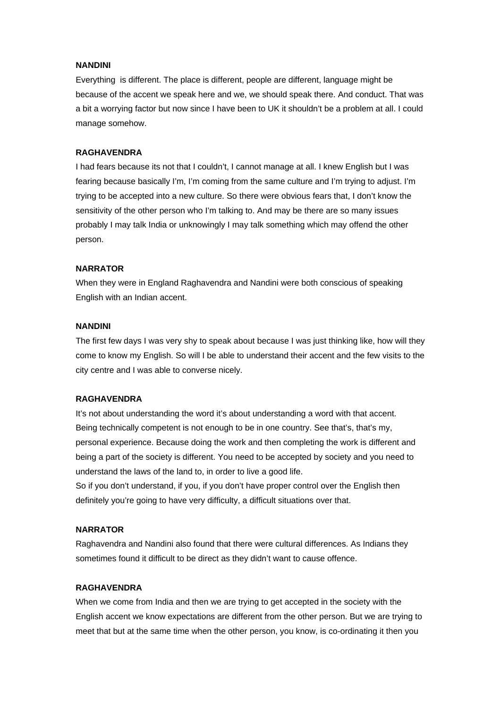### **NANDINI**

Everything is different. The place is different, people are different, language might be because of the accent we speak here and we, we should speak there. And conduct. That was a bit a worrying factor but now since I have been to UK it shouldn't be a problem at all. I could manage somehow.

### **RAGHAVENDRA**

I had fears because its not that I couldn't, I cannot manage at all. I knew English but I was fearing because basically I'm, I'm coming from the same culture and I'm trying to adjust. I'm trying to be accepted into a new culture. So there were obvious fears that, I don't know the sensitivity of the other person who I'm talking to. And may be there are so many issues probably I may talk India or unknowingly I may talk something which may offend the other person.

#### **NARRATOR**

When they were in England Raghavendra and Nandini were both conscious of speaking English with an Indian accent.

### **NANDINI**

The first few days I was very shy to speak about because I was just thinking like, how will they come to know my English. So will I be able to understand their accent and the few visits to the city centre and I was able to converse nicely.

### **RAGHAVENDRA**

It's not about understanding the word it's about understanding a word with that accent. Being technically competent is not enough to be in one country. See that's, that's my, personal experience. Because doing the work and then completing the work is different and being a part of the society is different. You need to be accepted by society and you need to understand the laws of the land to, in order to live a good life.

So if you don't understand, if you, if you don't have proper control over the English then definitely you're going to have very difficulty, a difficult situations over that.

### **NARRATOR**

Raghavendra and Nandini also found that there were cultural differences. As Indians they sometimes found it difficult to be direct as they didn't want to cause offence.

#### **RAGHAVENDRA**

When we come from India and then we are trying to get accepted in the society with the English accent we know expectations are different from the other person. But we are trying to meet that but at the same time when the other person, you know, is co-ordinating it then you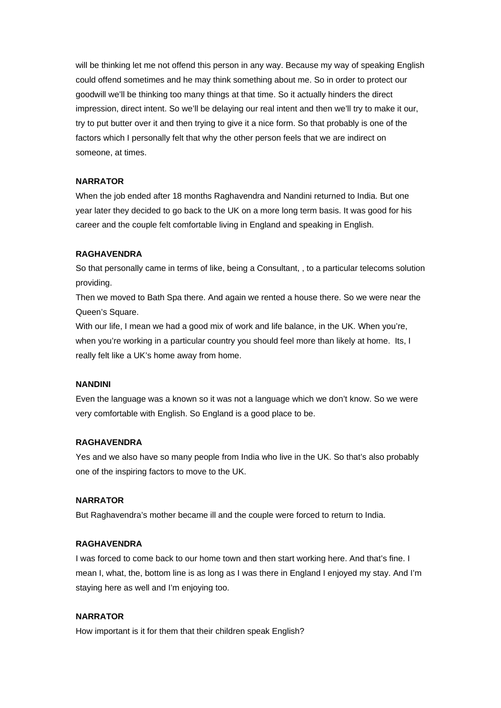will be thinking let me not offend this person in any way. Because my way of speaking English could offend sometimes and he may think something about me. So in order to protect our goodwill we'll be thinking too many things at that time. So it actually hinders the direct impression, direct intent. So we'll be delaying our real intent and then we'll try to make it our, try to put butter over it and then trying to give it a nice form. So that probably is one of the factors which I personally felt that why the other person feels that we are indirect on someone, at times.

### **NARRATOR**

When the job ended after 18 months Raghavendra and Nandini returned to India. But one year later they decided to go back to the UK on a more long term basis. It was good for his career and the couple felt comfortable living in England and speaking in English.

### **RAGHAVENDRA**

So that personally came in terms of like, being a Consultant, , to a particular telecoms solution providing.

Then we moved to Bath Spa there. And again we rented a house there. So we were near the Queen's Square.

With our life, I mean we had a good mix of work and life balance, in the UK. When you're, when you're working in a particular country you should feel more than likely at home. Its, I really felt like a UK's home away from home.

#### **NANDINI**

Even the language was a known so it was not a language which we don't know. So we were very comfortable with English. So England is a good place to be.

#### **RAGHAVENDRA**

Yes and we also have so many people from India who live in the UK. So that's also probably one of the inspiring factors to move to the UK.

### **NARRATOR**

But Raghavendra's mother became ill and the couple were forced to return to India.

#### **RAGHAVENDRA**

I was forced to come back to our home town and then start working here. And that's fine. I mean I, what, the, bottom line is as long as I was there in England I enjoyed my stay. And I'm staying here as well and I'm enjoying too.

### **NARRATOR**

How important is it for them that their children speak English?